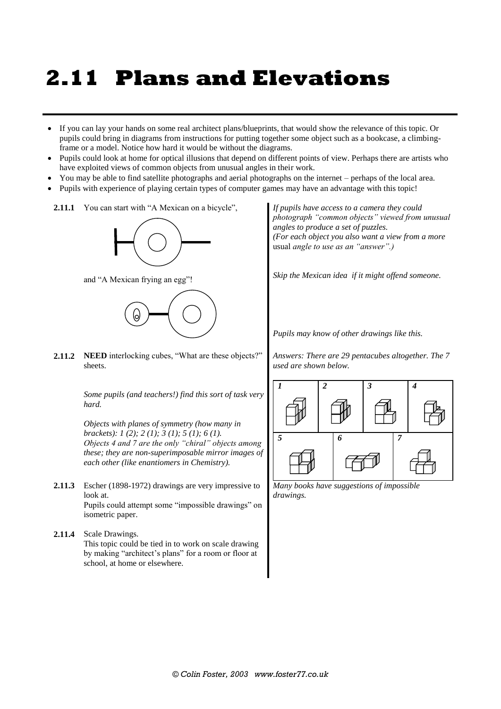## **2.11 Plans and Elevations**

- If you can lay your hands on some real architect plans/blueprints, that would show the relevance of this topic. Or pupils could bring in diagrams from instructions for putting together some object such as a bookcase, a climbingframe or a model. Notice how hard it would be without the diagrams.
- Pupils could look at home for optical illusions that depend on different points of view. Perhaps there are artists who have exploited views of common objects from unusual angles in their work.
- You may be able to find satellite photographs and aerial photographs on the internet perhaps of the local area.
- Pupils with experience of playing certain types of computer games may have an advantage with this topic!
	- 2.11.1 You can start with "A Mexican on a bicycle",



and "A Mexican frying an egg"!



**2.11.2 NEED** interlocking cubes, "What are these objects?" sheets.

> *Some pupils (and teachers!) find this sort of task very hard.*

> *Objects with planes of symmetry (how many in brackets): 1 (2); 2 (1); 3 (1); 5 (1); 6 (1). Objects 4 and 7 are the only "chiral" objects among these; they are non-superimposable mirror images of each other (like enantiomers in Chemistry).*

- **2.11.3** Escher (1898-1972) drawings are very impressive to look at. Pupils could attempt some "impossible drawings" on isometric paper.
- **2.11.4** Scale Drawings. This topic could be tied in to work on scale drawing by making "architect's plans" for a room or floor at school, at home or elsewhere.

*If pupils have access to a camera they could photograph "common objects" viewed from unusual angles to produce a set of puzzles. (For each object you also want a view from a more*  usual *angle to use as an "answer".)*

*Skip the Mexican idea if it might offend someone.*

*Pupils may know of other drawings like this.*

*Answers: There are 29 pentacubes altogether. The 7 used are shown below.*